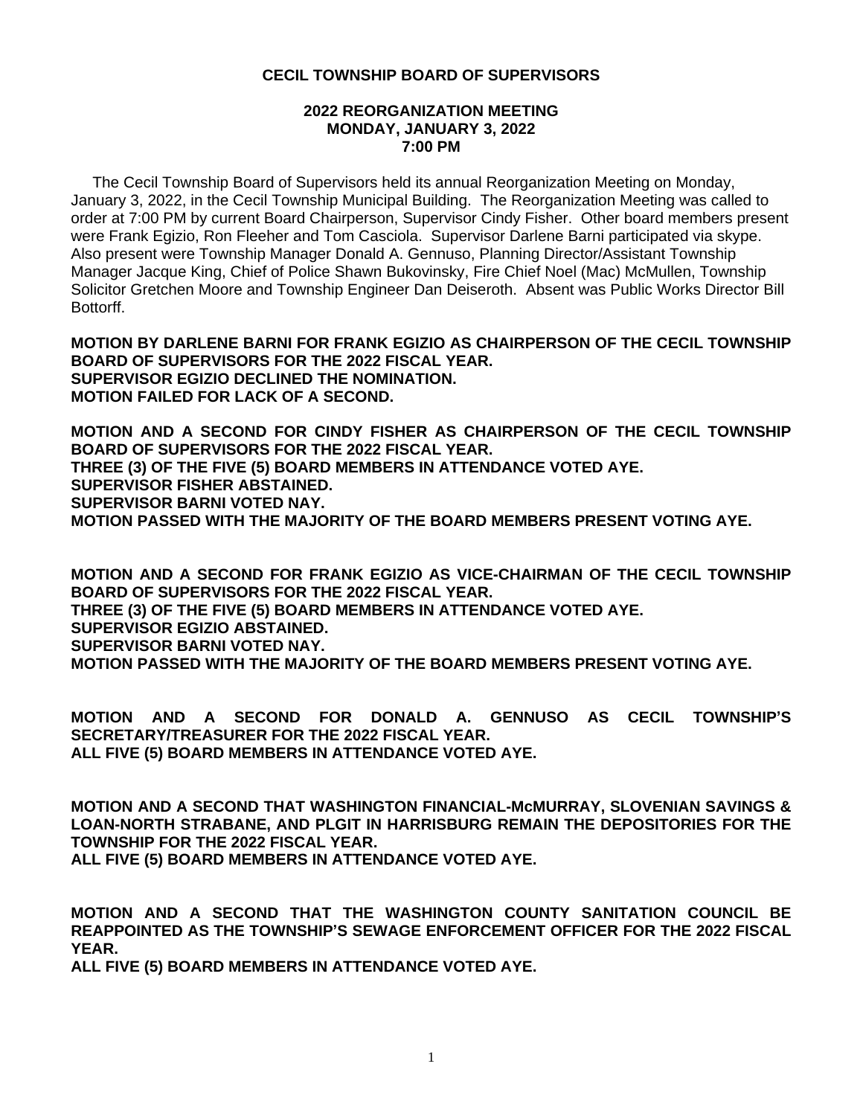### **2022 REORGANIZATION MEETING MONDAY, JANUARY 3, 2022 7:00 PM**

 The Cecil Township Board of Supervisors held its annual Reorganization Meeting on Monday, January 3, 2022, in the Cecil Township Municipal Building. The Reorganization Meeting was called to order at 7:00 PM by current Board Chairperson, Supervisor Cindy Fisher. Other board members present were Frank Egizio, Ron Fleeher and Tom Casciola. Supervisor Darlene Barni participated via skype. Also present were Township Manager Donald A. Gennuso, Planning Director/Assistant Township Manager Jacque King, Chief of Police Shawn Bukovinsky, Fire Chief Noel (Mac) McMullen, Township Solicitor Gretchen Moore and Township Engineer Dan Deiseroth. Absent was Public Works Director Bill Bottorff.

**MOTION BY DARLENE BARNI FOR FRANK EGIZIO AS CHAIRPERSON OF THE CECIL TOWNSHIP BOARD OF SUPERVISORS FOR THE 2022 FISCAL YEAR. SUPERVISOR EGIZIO DECLINED THE NOMINATION. MOTION FAILED FOR LACK OF A SECOND.**

**MOTION AND A SECOND FOR CINDY FISHER AS CHAIRPERSON OF THE CECIL TOWNSHIP BOARD OF SUPERVISORS FOR THE 2022 FISCAL YEAR. THREE (3) OF THE FIVE (5) BOARD MEMBERS IN ATTENDANCE VOTED AYE. SUPERVISOR FISHER ABSTAINED. SUPERVISOR BARNI VOTED NAY. MOTION PASSED WITH THE MAJORITY OF THE BOARD MEMBERS PRESENT VOTING AYE.**

**MOTION AND A SECOND FOR FRANK EGIZIO AS VICE-CHAIRMAN OF THE CECIL TOWNSHIP BOARD OF SUPERVISORS FOR THE 2022 FISCAL YEAR. THREE (3) OF THE FIVE (5) BOARD MEMBERS IN ATTENDANCE VOTED AYE. SUPERVISOR EGIZIO ABSTAINED. SUPERVISOR BARNI VOTED NAY. MOTION PASSED WITH THE MAJORITY OF THE BOARD MEMBERS PRESENT VOTING AYE.**

**MOTION AND A SECOND FOR DONALD A. GENNUSO AS CECIL TOWNSHIP'S SECRETARY/TREASURER FOR THE 2022 FISCAL YEAR. ALL FIVE (5) BOARD MEMBERS IN ATTENDANCE VOTED AYE.**

**MOTION AND A SECOND THAT WASHINGTON FINANCIAL-McMURRAY, SLOVENIAN SAVINGS & LOAN-NORTH STRABANE, AND PLGIT IN HARRISBURG REMAIN THE DEPOSITORIES FOR THE TOWNSHIP FOR THE 2022 FISCAL YEAR. ALL FIVE (5) BOARD MEMBERS IN ATTENDANCE VOTED AYE.**

**MOTION AND A SECOND THAT THE WASHINGTON COUNTY SANITATION COUNCIL BE REAPPOINTED AS THE TOWNSHIP'S SEWAGE ENFORCEMENT OFFICER FOR THE 2022 FISCAL YEAR.**

**ALL FIVE (5) BOARD MEMBERS IN ATTENDANCE VOTED AYE.**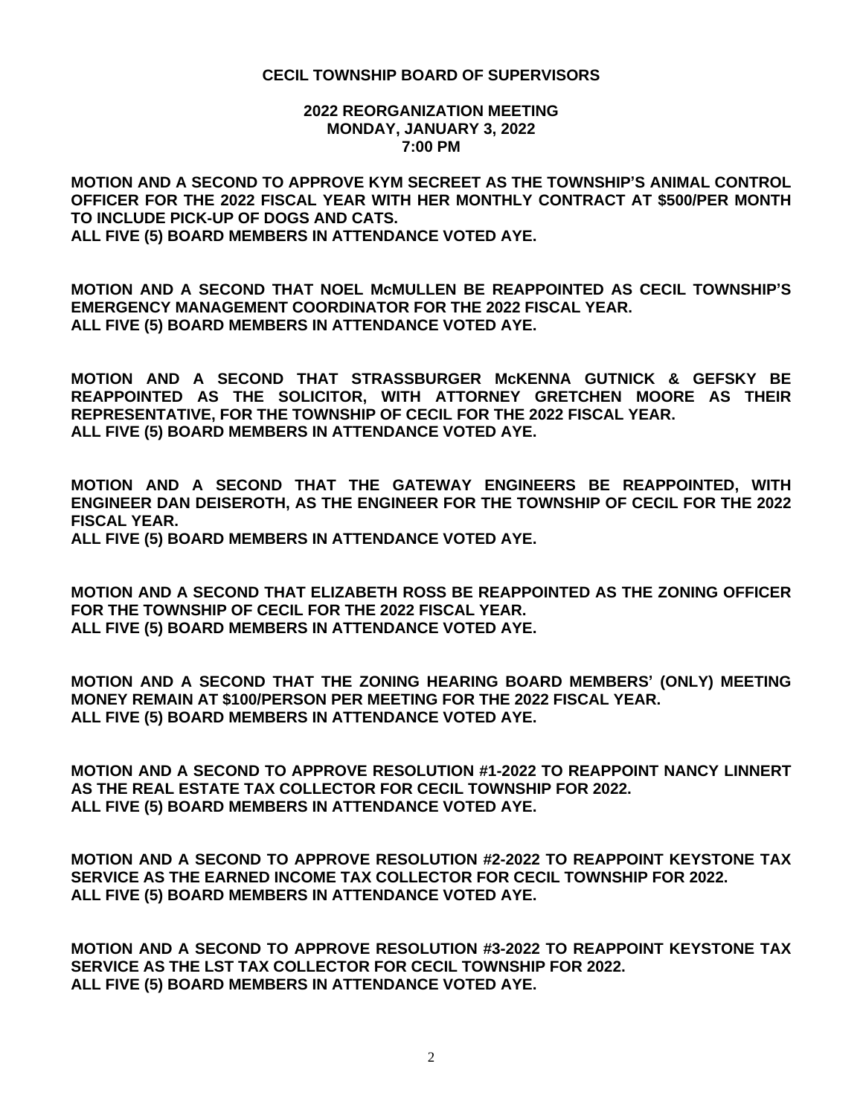#### **2022 REORGANIZATION MEETING MONDAY, JANUARY 3, 2022 7:00 PM**

**MOTION AND A SECOND TO APPROVE KYM SECREET AS THE TOWNSHIP'S ANIMAL CONTROL OFFICER FOR THE 2022 FISCAL YEAR WITH HER MONTHLY CONTRACT AT \$500/PER MONTH TO INCLUDE PICK-UP OF DOGS AND CATS. ALL FIVE (5) BOARD MEMBERS IN ATTENDANCE VOTED AYE.**

**MOTION AND A SECOND THAT NOEL McMULLEN BE REAPPOINTED AS CECIL TOWNSHIP'S EMERGENCY MANAGEMENT COORDINATOR FOR THE 2022 FISCAL YEAR. ALL FIVE (5) BOARD MEMBERS IN ATTENDANCE VOTED AYE.**

**MOTION AND A SECOND THAT STRASSBURGER McKENNA GUTNICK & GEFSKY BE REAPPOINTED AS THE SOLICITOR, WITH ATTORNEY GRETCHEN MOORE AS THEIR REPRESENTATIVE, FOR THE TOWNSHIP OF CECIL FOR THE 2022 FISCAL YEAR. ALL FIVE (5) BOARD MEMBERS IN ATTENDANCE VOTED AYE.**

**MOTION AND A SECOND THAT THE GATEWAY ENGINEERS BE REAPPOINTED, WITH ENGINEER DAN DEISEROTH, AS THE ENGINEER FOR THE TOWNSHIP OF CECIL FOR THE 2022 FISCAL YEAR. ALL FIVE (5) BOARD MEMBERS IN ATTENDANCE VOTED AYE.**

**MOTION AND A SECOND THAT ELIZABETH ROSS BE REAPPOINTED AS THE ZONING OFFICER FOR THE TOWNSHIP OF CECIL FOR THE 2022 FISCAL YEAR. ALL FIVE (5) BOARD MEMBERS IN ATTENDANCE VOTED AYE.**

**MOTION AND A SECOND THAT THE ZONING HEARING BOARD MEMBERS' (ONLY) MEETING MONEY REMAIN AT \$100/PERSON PER MEETING FOR THE 2022 FISCAL YEAR. ALL FIVE (5) BOARD MEMBERS IN ATTENDANCE VOTED AYE.**

**MOTION AND A SECOND TO APPROVE RESOLUTION #1-2022 TO REAPPOINT NANCY LINNERT AS THE REAL ESTATE TAX COLLECTOR FOR CECIL TOWNSHIP FOR 2022. ALL FIVE (5) BOARD MEMBERS IN ATTENDANCE VOTED AYE.**

**MOTION AND A SECOND TO APPROVE RESOLUTION #2-2022 TO REAPPOINT KEYSTONE TAX SERVICE AS THE EARNED INCOME TAX COLLECTOR FOR CECIL TOWNSHIP FOR 2022. ALL FIVE (5) BOARD MEMBERS IN ATTENDANCE VOTED AYE.**

**MOTION AND A SECOND TO APPROVE RESOLUTION #3-2022 TO REAPPOINT KEYSTONE TAX SERVICE AS THE LST TAX COLLECTOR FOR CECIL TOWNSHIP FOR 2022. ALL FIVE (5) BOARD MEMBERS IN ATTENDANCE VOTED AYE.**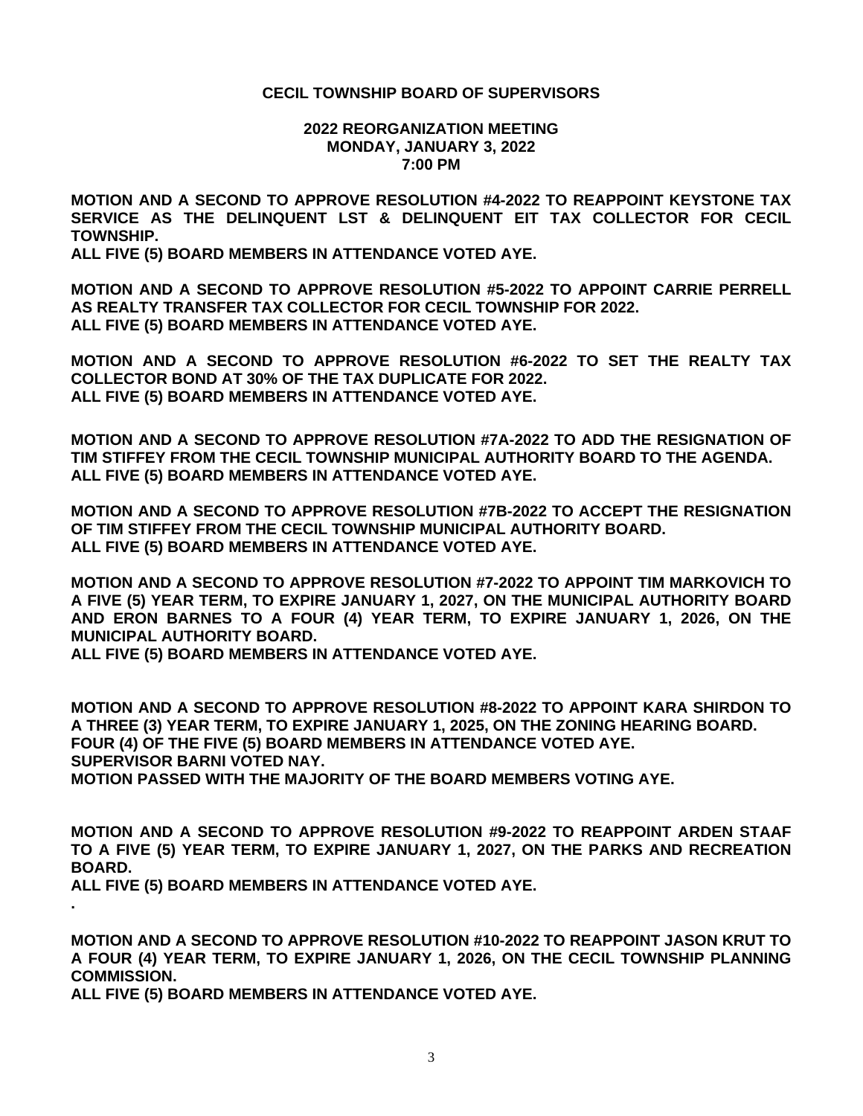#### **2022 REORGANIZATION MEETING MONDAY, JANUARY 3, 2022 7:00 PM**

**MOTION AND A SECOND TO APPROVE RESOLUTION #4-2022 TO REAPPOINT KEYSTONE TAX SERVICE AS THE DELINQUENT LST & DELINQUENT EIT TAX COLLECTOR FOR CECIL TOWNSHIP.**

**ALL FIVE (5) BOARD MEMBERS IN ATTENDANCE VOTED AYE.**

**MOTION AND A SECOND TO APPROVE RESOLUTION #5-2022 TO APPOINT CARRIE PERRELL AS REALTY TRANSFER TAX COLLECTOR FOR CECIL TOWNSHIP FOR 2022. ALL FIVE (5) BOARD MEMBERS IN ATTENDANCE VOTED AYE.**

**MOTION AND A SECOND TO APPROVE RESOLUTION #6-2022 TO SET THE REALTY TAX COLLECTOR BOND AT 30% OF THE TAX DUPLICATE FOR 2022. ALL FIVE (5) BOARD MEMBERS IN ATTENDANCE VOTED AYE.**

**MOTION AND A SECOND TO APPROVE RESOLUTION #7A-2022 TO ADD THE RESIGNATION OF TIM STIFFEY FROM THE CECIL TOWNSHIP MUNICIPAL AUTHORITY BOARD TO THE AGENDA. ALL FIVE (5) BOARD MEMBERS IN ATTENDANCE VOTED AYE.**

**MOTION AND A SECOND TO APPROVE RESOLUTION #7B-2022 TO ACCEPT THE RESIGNATION OF TIM STIFFEY FROM THE CECIL TOWNSHIP MUNICIPAL AUTHORITY BOARD. ALL FIVE (5) BOARD MEMBERS IN ATTENDANCE VOTED AYE.**

**MOTION AND A SECOND TO APPROVE RESOLUTION #7-2022 TO APPOINT TIM MARKOVICH TO A FIVE (5) YEAR TERM, TO EXPIRE JANUARY 1, 2027, ON THE MUNICIPAL AUTHORITY BOARD AND ERON BARNES TO A FOUR (4) YEAR TERM, TO EXPIRE JANUARY 1, 2026, ON THE MUNICIPAL AUTHORITY BOARD.**

**ALL FIVE (5) BOARD MEMBERS IN ATTENDANCE VOTED AYE.**

**MOTION AND A SECOND TO APPROVE RESOLUTION #8-2022 TO APPOINT KARA SHIRDON TO A THREE (3) YEAR TERM, TO EXPIRE JANUARY 1, 2025, ON THE ZONING HEARING BOARD. FOUR (4) OF THE FIVE (5) BOARD MEMBERS IN ATTENDANCE VOTED AYE. SUPERVISOR BARNI VOTED NAY. MOTION PASSED WITH THE MAJORITY OF THE BOARD MEMBERS VOTING AYE.**

**MOTION AND A SECOND TO APPROVE RESOLUTION #9-2022 TO REAPPOINT ARDEN STAAF TO A FIVE (5) YEAR TERM, TO EXPIRE JANUARY 1, 2027, ON THE PARKS AND RECREATION BOARD.**

**ALL FIVE (5) BOARD MEMBERS IN ATTENDANCE VOTED AYE.**

**.**

**MOTION AND A SECOND TO APPROVE RESOLUTION #10-2022 TO REAPPOINT JASON KRUT TO A FOUR (4) YEAR TERM, TO EXPIRE JANUARY 1, 2026, ON THE CECIL TOWNSHIP PLANNING COMMISSION.**

**ALL FIVE (5) BOARD MEMBERS IN ATTENDANCE VOTED AYE.**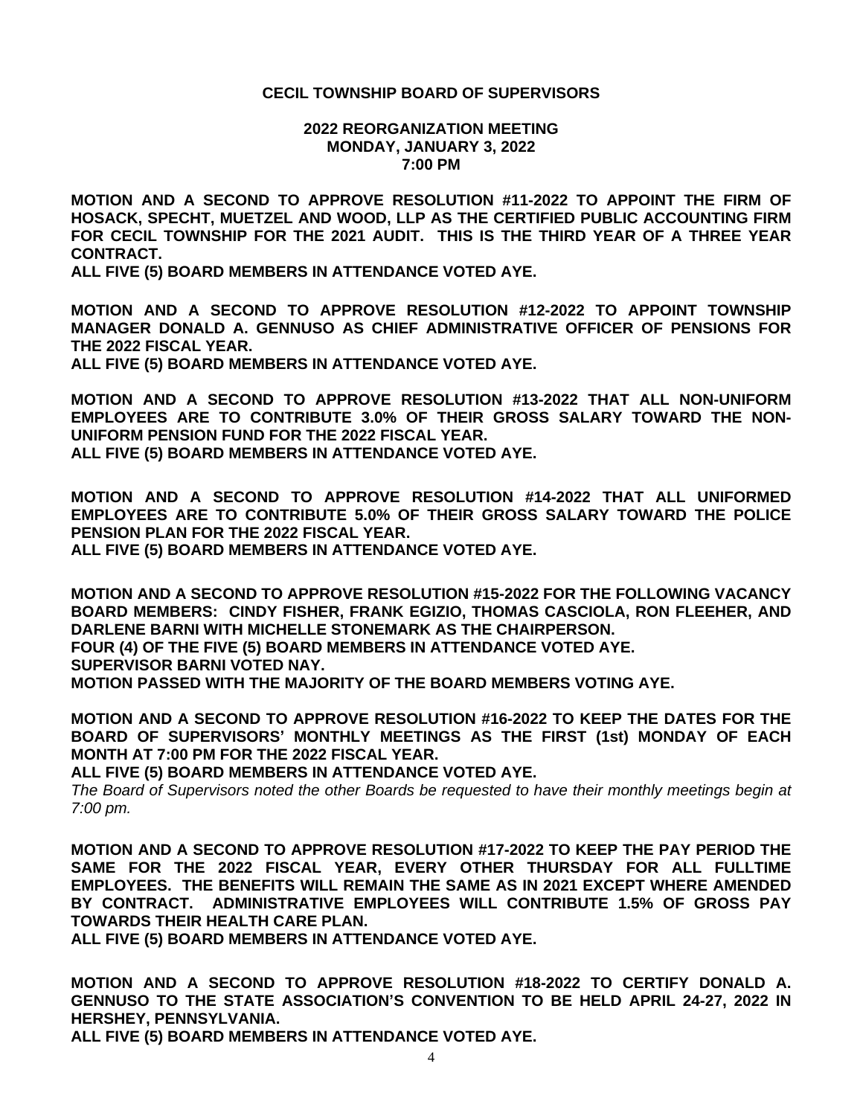#### **2022 REORGANIZATION MEETING MONDAY, JANUARY 3, 2022 7:00 PM**

**MOTION AND A SECOND TO APPROVE RESOLUTION #11-2022 TO APPOINT THE FIRM OF HOSACK, SPECHT, MUETZEL AND WOOD, LLP AS THE CERTIFIED PUBLIC ACCOUNTING FIRM FOR CECIL TOWNSHIP FOR THE 2021 AUDIT. THIS IS THE THIRD YEAR OF A THREE YEAR CONTRACT.**

**ALL FIVE (5) BOARD MEMBERS IN ATTENDANCE VOTED AYE.**

**MOTION AND A SECOND TO APPROVE RESOLUTION #12-2022 TO APPOINT TOWNSHIP MANAGER DONALD A. GENNUSO AS CHIEF ADMINISTRATIVE OFFICER OF PENSIONS FOR THE 2022 FISCAL YEAR.**

**ALL FIVE (5) BOARD MEMBERS IN ATTENDANCE VOTED AYE.**

**MOTION AND A SECOND TO APPROVE RESOLUTION #13-2022 THAT ALL NON-UNIFORM EMPLOYEES ARE TO CONTRIBUTE 3.0% OF THEIR GROSS SALARY TOWARD THE NON-UNIFORM PENSION FUND FOR THE 2022 FISCAL YEAR. ALL FIVE (5) BOARD MEMBERS IN ATTENDANCE VOTED AYE.**

**MOTION AND A SECOND TO APPROVE RESOLUTION #14-2022 THAT ALL UNIFORMED EMPLOYEES ARE TO CONTRIBUTE 5.0% OF THEIR GROSS SALARY TOWARD THE POLICE PENSION PLAN FOR THE 2022 FISCAL YEAR.**

**ALL FIVE (5) BOARD MEMBERS IN ATTENDANCE VOTED AYE.**

**MOTION AND A SECOND TO APPROVE RESOLUTION #15-2022 FOR THE FOLLOWING VACANCY BOARD MEMBERS: CINDY FISHER, FRANK EGIZIO, THOMAS CASCIOLA, RON FLEEHER, AND DARLENE BARNI WITH MICHELLE STONEMARK AS THE CHAIRPERSON. FOUR (4) OF THE FIVE (5) BOARD MEMBERS IN ATTENDANCE VOTED AYE.**

**SUPERVISOR BARNI VOTED NAY.**

**MOTION PASSED WITH THE MAJORITY OF THE BOARD MEMBERS VOTING AYE.**

**MOTION AND A SECOND TO APPROVE RESOLUTION #16-2022 TO KEEP THE DATES FOR THE BOARD OF SUPERVISORS' MONTHLY MEETINGS AS THE FIRST (1st) MONDAY OF EACH MONTH AT 7:00 PM FOR THE 2022 FISCAL YEAR.**

**ALL FIVE (5) BOARD MEMBERS IN ATTENDANCE VOTED AYE.**

*The Board of Supervisors noted the other Boards be requested to have their monthly meetings begin at 7:00 pm.*

**MOTION AND A SECOND TO APPROVE RESOLUTION #17-2022 TO KEEP THE PAY PERIOD THE SAME FOR THE 2022 FISCAL YEAR, EVERY OTHER THURSDAY FOR ALL FULLTIME EMPLOYEES. THE BENEFITS WILL REMAIN THE SAME AS IN 2021 EXCEPT WHERE AMENDED BY CONTRACT. ADMINISTRATIVE EMPLOYEES WILL CONTRIBUTE 1.5% OF GROSS PAY TOWARDS THEIR HEALTH CARE PLAN.**

**ALL FIVE (5) BOARD MEMBERS IN ATTENDANCE VOTED AYE.**

**MOTION AND A SECOND TO APPROVE RESOLUTION #18-2022 TO CERTIFY DONALD A. GENNUSO TO THE STATE ASSOCIATION'S CONVENTION TO BE HELD APRIL 24-27, 2022 IN HERSHEY, PENNSYLVANIA.**

**ALL FIVE (5) BOARD MEMBERS IN ATTENDANCE VOTED AYE.**